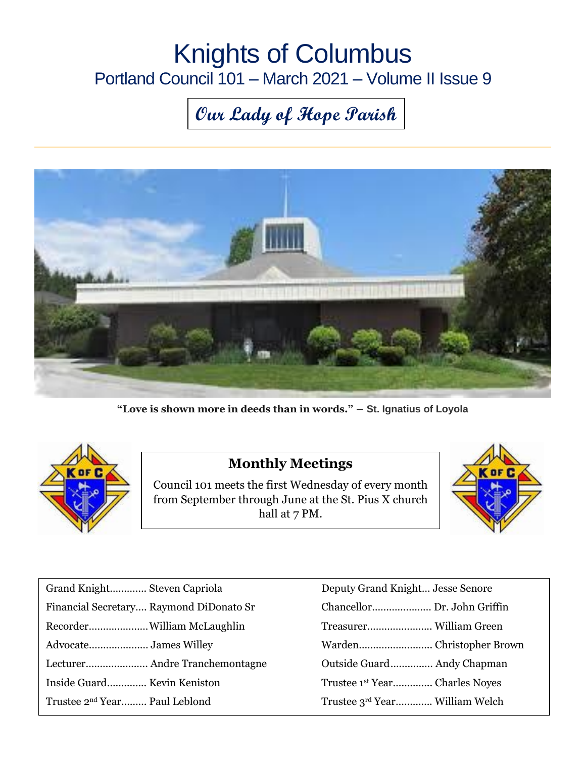# Knights of Columbus Portland Council 101 – March 2021 – Volume II Issue 9

# **Our Lady of Hope Parish**



**"Love is shown more in deeds than in words."** ― **St. Ignatius of Loyola**



#### **Monthly Meetings**

Council 101 meets the first Wednesday of every month from September through June at the St. Pius X church hall at 7 PM.



| Deputy Grand Knight Jesse Senore          |
|-------------------------------------------|
| Chancellor Dr. John Griffin               |
|                                           |
|                                           |
| Outside Guard Andy Chapman                |
| Trustee 1 <sup>st</sup> YearCharles Noyes |
| Trustee 3rd Year William Welch            |
|                                           |

| Deputy Grand Knight Jesse Senore           |
|--------------------------------------------|
| Chancellor Dr. John Griffin                |
|                                            |
|                                            |
| Outside Guard Andy Chapman                 |
| Trustee 1 <sup>st</sup> Year Charles Noyes |
| Trustee 3rd Year William Welch             |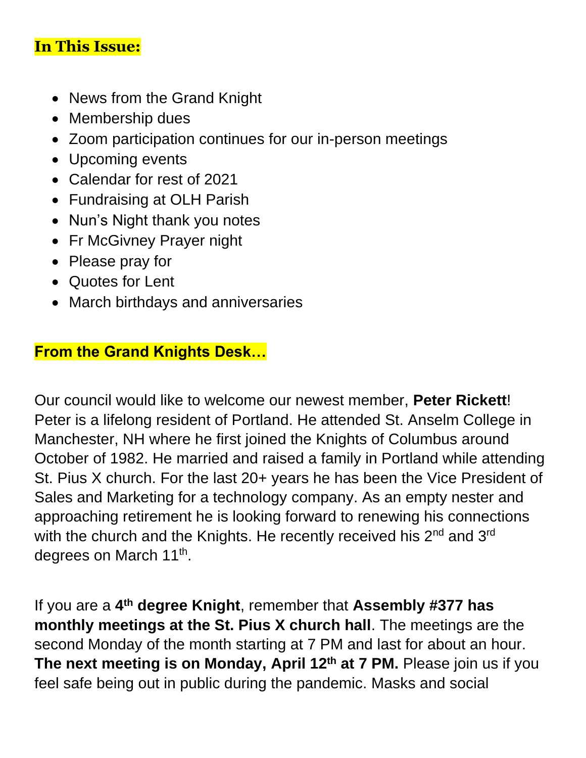#### **In This Issue:**

- News from the Grand Knight
- Membership dues
- Zoom participation continues for our in-person meetings
- Upcoming events
- Calendar for rest of 2021
- Fundraising at OLH Parish
- Nun's Night thank you notes
- Fr McGivney Prayer night
- Please pray for
- Quotes for Lent
- March birthdays and anniversaries

## **From the Grand Knights Desk…**

Our council would like to welcome our newest member, **Peter Rickett**! Peter is a lifelong resident of Portland. He attended St. Anselm College in Manchester, NH where he first joined the Knights of Columbus around October of 1982. He married and raised a family in Portland while attending St. Pius X church. For the last 20+ years he has been the Vice President of Sales and Marketing for a technology company. As an empty nester and approaching retirement he is looking forward to renewing his connections with the church and the Knights. He recently received his 2<sup>nd</sup> and 3<sup>rd</sup> degrees on March 11<sup>th</sup>.

If you are a **4 th degree Knight**, remember that **Assembly #377 has monthly meetings at the St. Pius X church hall**. The meetings are the second Monday of the month starting at 7 PM and last for about an hour. **The next meeting is on Monday, April 12th at 7 PM.** Please join us if you feel safe being out in public during the pandemic. Masks and social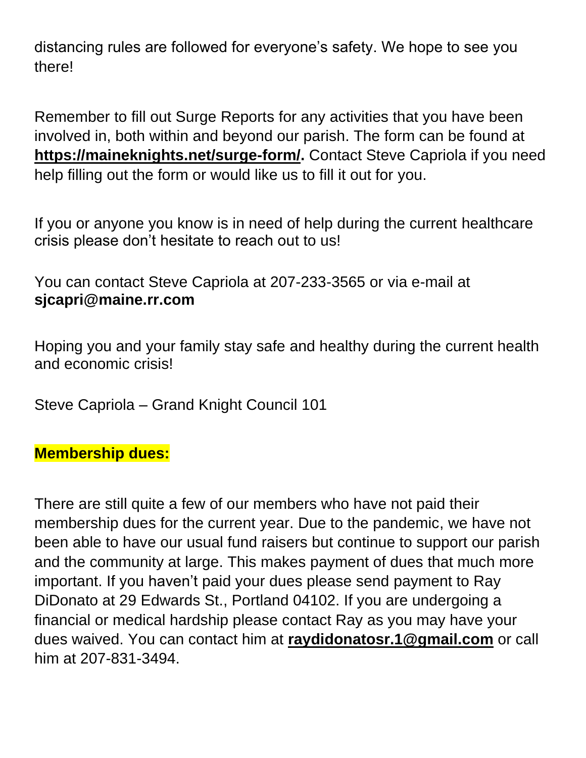distancing rules are followed for everyone's safety. We hope to see you there!

Remember to fill out Surge Reports for any activities that you have been involved in, both within and beyond our parish. The form can be found at **[https://maineknights.net/surge-form/.](https://maineknights.net/surge-form/)** Contact Steve Capriola if you need help filling out the form or would like us to fill it out for you.

If you or anyone you know is in need of help during the current healthcare crisis please don't hesitate to reach out to us!

You can contact Steve Capriola at 207-233-3565 or via e-mail at **[sjcapri@maine.rr.com](mailto:sjcapri@maine.rr.com)**

Hoping you and your family stay safe and healthy during the current health and economic crisis!

Steve Capriola – Grand Knight Council 101

#### **Membership dues:**

There are still quite a few of our members who have not paid their membership dues for the current year. Due to the pandemic, we have not been able to have our usual fund raisers but continue to support our parish and the community at large. This makes payment of dues that much more important. If you haven't paid your dues please send payment to Ray DiDonato at 29 Edwards St., Portland 04102. If you are undergoing a financial or medical hardship please contact Ray as you may have your dues waived. You can contact him at **[raydidonatosr.1@gmail.com](mailto:raydidonatosr.1@gmail.com)** or call him at 207-831-3494.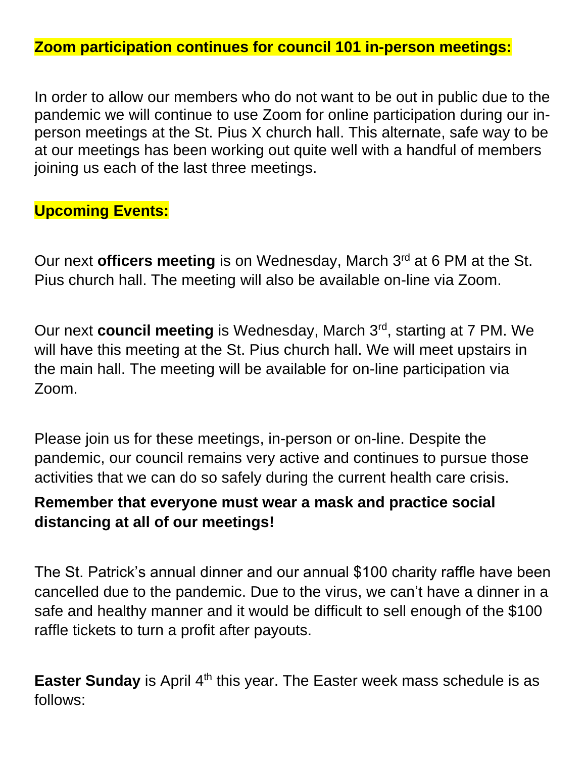**Zoom participation continues for council 101 in-person meetings:**

In order to allow our members who do not want to be out in public due to the pandemic we will continue to use Zoom for online participation during our inperson meetings at the St. Pius X church hall. This alternate, safe way to be at our meetings has been working out quite well with a handful of members joining us each of the last three meetings.

#### **Upcoming Events:**

Our next **officers meeting** is on Wednesday, March 3<sup>rd</sup> at 6 PM at the St. Pius church hall. The meeting will also be available on-line via Zoom.

Our next **council meeting** is Wednesday, March 3<sup>rd</sup>, starting at 7 PM. We will have this meeting at the St. Pius church hall. We will meet upstairs in the main hall. The meeting will be available for on-line participation via Zoom.

Please join us for these meetings, in-person or on-line. Despite the pandemic, our council remains very active and continues to pursue those activities that we can do so safely during the current health care crisis.

#### **Remember that everyone must wear a mask and practice social distancing at all of our meetings!**

The St. Patrick's annual dinner and our annual \$100 charity raffle have been cancelled due to the pandemic. Due to the virus, we can't have a dinner in a safe and healthy manner and it would be difficult to sell enough of the \$100 raffle tickets to turn a profit after payouts.

**Easter Sunday** is April 4<sup>th</sup> this year. The Easter week mass schedule is as follows: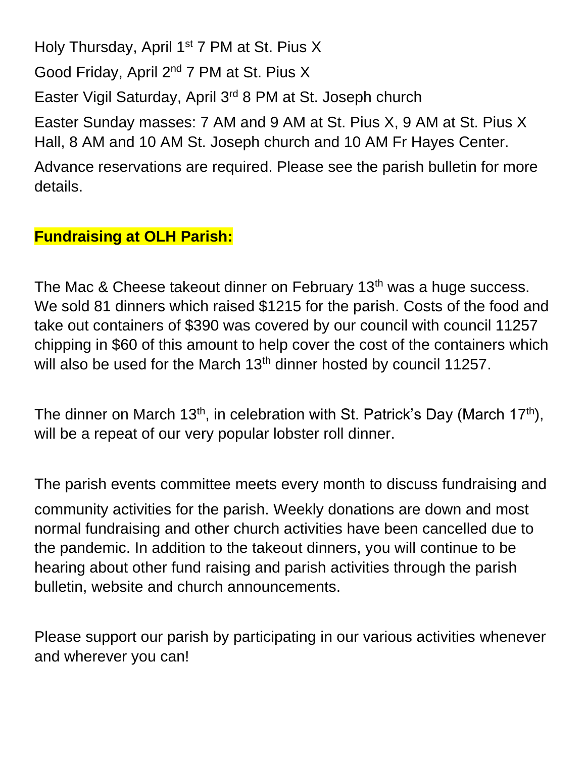Holy Thursday, April 1<sup>st</sup> 7 PM at St. Pius X

Good Friday, April 2nd 7 PM at St. Pius X

Easter Vigil Saturday, April 3rd 8 PM at St. Joseph church

Easter Sunday masses: 7 AM and 9 AM at St. Pius X, 9 AM at St. Pius X Hall, 8 AM and 10 AM St. Joseph church and 10 AM Fr Hayes Center.

Advance reservations are required. Please see the parish bulletin for more details.

#### **Fundraising at OLH Parish:**

The Mac & Cheese takeout dinner on February 13<sup>th</sup> was a huge success. We sold 81 dinners which raised \$1215 for the parish. Costs of the food and take out containers of \$390 was covered by our council with council 11257 chipping in \$60 of this amount to help cover the cost of the containers which will also be used for the March 13<sup>th</sup> dinner hosted by council 11257.

The dinner on March 13<sup>th</sup>, in celebration with St. Patrick's Day (March 17<sup>th</sup>), will be a repeat of our very popular lobster roll dinner.

The parish events committee meets every month to discuss fundraising and

community activities for the parish. Weekly donations are down and most normal fundraising and other church activities have been cancelled due to the pandemic. In addition to the takeout dinners, you will continue to be hearing about other fund raising and parish activities through the parish bulletin, website and church announcements.

Please support our parish by participating in our various activities whenever and wherever you can!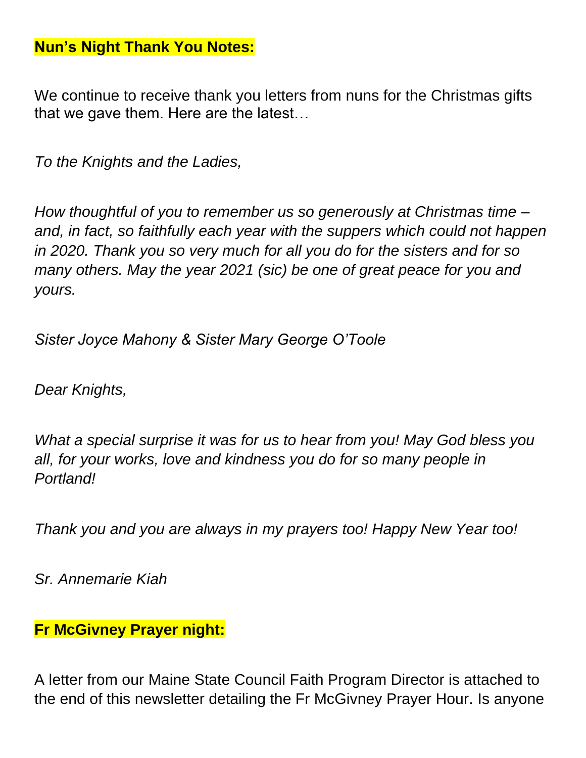#### **Nun's Night Thank You Notes:**

We continue to receive thank you letters from nuns for the Christmas gifts that we gave them. Here are the latest…

*To the Knights and the Ladies,*

*How thoughtful of you to remember us so generously at Christmas time – and, in fact, so faithfully each year with the suppers which could not happen in 2020. Thank you so very much for all you do for the sisters and for so many others. May the year 2021 (sic) be one of great peace for you and yours.*

*Sister Joyce Mahony & Sister Mary George O'Toole*

*Dear Knights,*

*What a special surprise it was for us to hear from you! May God bless you all, for your works, love and kindness you do for so many people in Portland!*

*Thank you and you are always in my prayers too! Happy New Year too!*

*Sr. Annemarie Kiah*

#### **Fr McGivney Prayer night:**

A letter from our Maine State Council Faith Program Director is attached to the end of this newsletter detailing the Fr McGivney Prayer Hour. Is anyone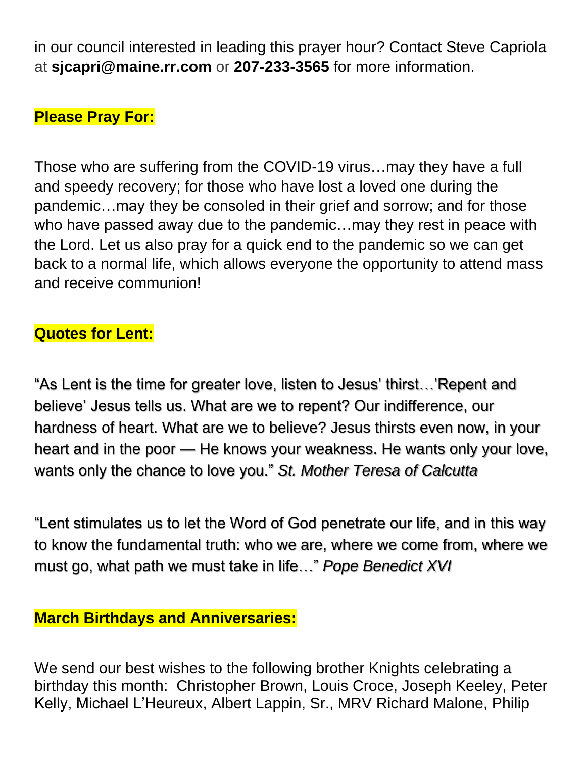in our council interested in leading this prayer hour? Contact Steve Capriola at **[sjcapri@maine.rr.com](mailto:sjcapri@maine.rr.com)** or **207-233-3565** for more information.

#### **Please Pray For:**

Those who are suffering from the COVID-19 virus…may they have a full and speedy recovery; for those who have lost a loved one during the pandemic…may they be consoled in their grief and sorrow; and for those who have passed away due to the pandemic…may they rest in peace with the Lord. Let us also pray for a quick end to the pandemic so we can get back to a normal life, which allows everyone the opportunity to attend mass and receive communion!

## **Quotes for Lent:**

"As Lent is the time for greater love, listen to Jesus' thirst…'Repent and believe' Jesus tells us. What are we to repent? Our indifference, our hardness of heart. What are we to believe? Jesus thirsts even now, in your heart and in the poor — He knows your weakness. He wants only your love, wants only the chance to love you." *St. Mother Teresa of Calcutta*

"Lent stimulates us to let the Word of God penetrate our life, and in this way to know the fundamental truth: who we are, where we come from, where we must go, what path we must take in life…" *Pope Benedict XVI*

#### **March Birthdays and Anniversaries:**

We send our best wishes to the following brother Knights celebrating a birthday this month: Christopher Brown, Louis Croce, Joseph Keeley, Peter Kelly, Michael L'Heureux, Albert Lappin, Sr., MRV Richard Malone, Philip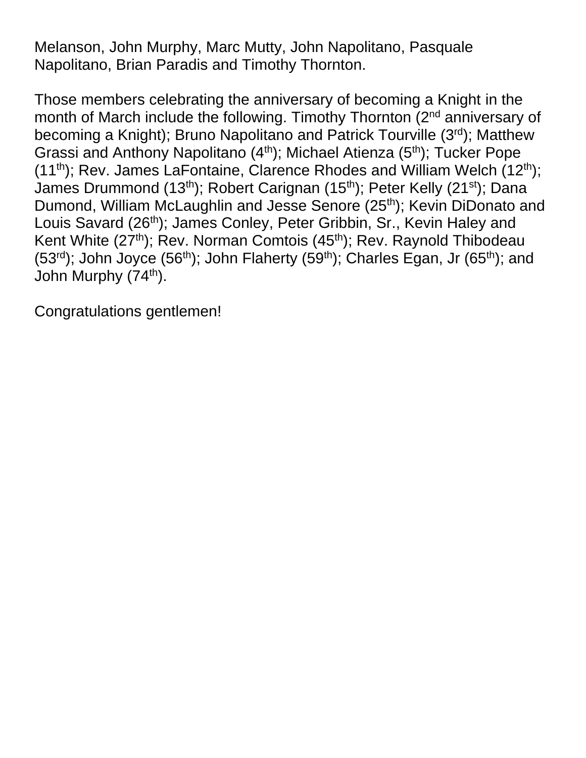Melanson, John Murphy, Marc Mutty, John Napolitano, Pasquale Napolitano, Brian Paradis and Timothy Thornton.

Those members celebrating the anniversary of becoming a Knight in the month of March include the following. Timothy Thornton (2<sup>nd</sup> anniversary of becoming a Knight); Bruno Napolitano and Patrick Tourville (3rd); Matthew Grassi and Anthony Napolitano (4<sup>th</sup>); Michael Atienza (5<sup>th</sup>); Tucker Pope (11<sup>th</sup>); Rev. James LaFontaine, Clarence Rhodes and William Welch (12<sup>th</sup>); James Drummond (13<sup>th</sup>); Robert Carignan (15<sup>th</sup>); Peter Kelly (21<sup>st</sup>); Dana Dumond, William McLaughlin and Jesse Senore (25<sup>th</sup>); Kevin DiDonato and Louis Savard (26<sup>th</sup>); James Conley, Peter Gribbin, Sr., Kevin Haley and Kent White  $(27<sup>th</sup>)$ ; Rev. Norman Comtois  $(45<sup>th</sup>)$ ; Rev. Raynold Thibodeau (53<sup>rd</sup>); John Joyce (56<sup>th</sup>); John Flaherty (59<sup>th</sup>); Charles Egan, Jr (65<sup>th</sup>); and John Murphy (74<sup>th</sup>).

Congratulations gentlemen!